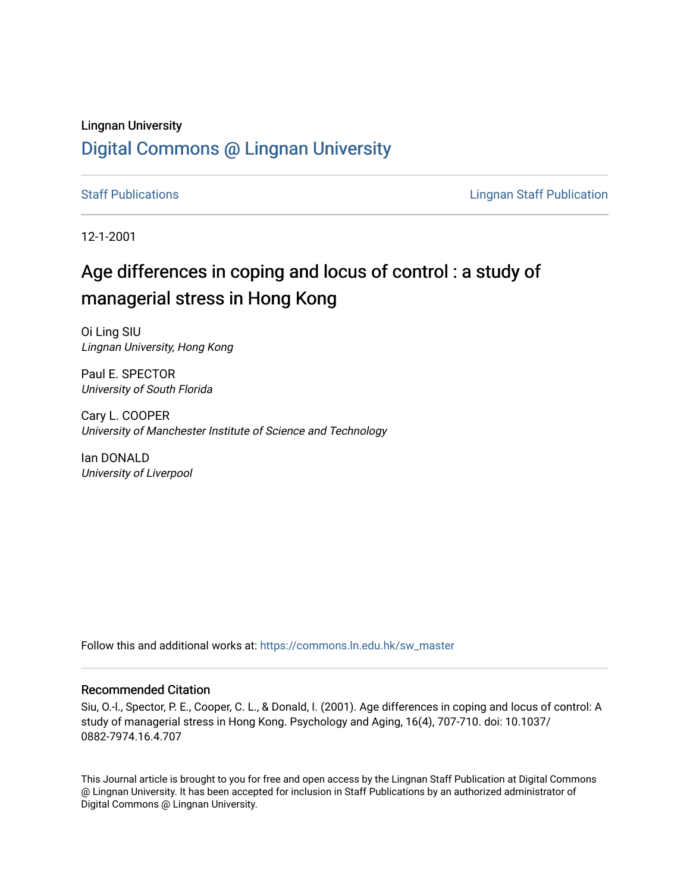# Lingnan University [Digital Commons @ Lingnan University](https://commons.ln.edu.hk/)

[Staff Publications](https://commons.ln.edu.hk/sw_master) **Staff Publications Lingnan Staff Publication** 

12-1-2001

# Age differences in coping and locus of control : a study of managerial stress in Hong Kong

Oi Ling SIU Lingnan University, Hong Kong

Paul E. SPECTOR University of South Florida

Cary L. COOPER University of Manchester Institute of Science and Technology

Ian DONALD University of Liverpool

Follow this and additional works at: [https://commons.ln.edu.hk/sw\\_master](https://commons.ln.edu.hk/sw_master?utm_source=commons.ln.edu.hk%2Fsw_master%2F130&utm_medium=PDF&utm_campaign=PDFCoverPages) 

## Recommended Citation

Siu, O.-l., Spector, P. E., Cooper, C. L., & Donald, I. (2001). Age differences in coping and locus of control: A study of managerial stress in Hong Kong. Psychology and Aging, 16(4), 707-710. doi: 10.1037/ 0882-7974.16.4.707

This Journal article is brought to you for free and open access by the Lingnan Staff Publication at Digital Commons @ Lingnan University. It has been accepted for inclusion in Staff Publications by an authorized administrator of Digital Commons @ Lingnan University.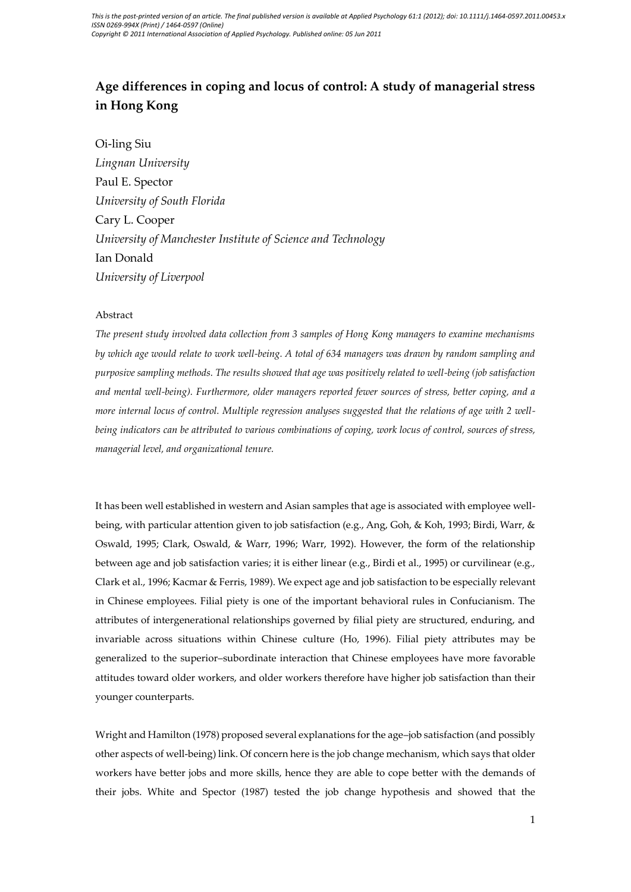## **Age differences in coping and locus of control: A study of managerial stress in Hong Kong**

Oi-ling Siu *Lingnan University* Paul E. Spector *University of South Florida* Cary L. Cooper *University of Manchester Institute of Science and Technology* Ian Donald *University of Liverpool*

#### Abstract

*The present study involved data collection from 3 samples of Hong Kong managers to examine mechanisms by which age would relate to work well-being. A total of 634 managers was drawn by random sampling and purposive sampling methods. The results showed that age was positively related to well-being (job satisfaction and mental well-being). Furthermore, older managers reported fewer sources of stress, better coping, and a more internal locus of control. Multiple regression analyses suggested that the relations of age with 2 wellbeing indicators can be attributed to various combinations of coping, work locus of control, sources of stress, managerial level, and organizational tenure.*

It has been well established in western and Asian samples that age is associated with employee wellbeing, with particular attention given to job satisfaction (e.g., Ang, Goh, & Koh, 1993; Birdi, Warr, & Oswald, 1995; Clark, Oswald, & Warr, 1996; Warr, 1992). However, the form of the relationship between age and job satisfaction varies; it is either linear (e.g., Birdi et al., 1995) or curvilinear (e.g., Clark et al., 1996; Kacmar & Ferris, 1989). We expect age and job satisfaction to be especially relevant in Chinese employees. Filial piety is one of the important behavioral rules in Confucianism. The attributes of intergenerational relationships governed by filial piety are structured, enduring, and invariable across situations within Chinese culture (Ho, 1996). Filial piety attributes may be generalized to the superior–subordinate interaction that Chinese employees have more favorable attitudes toward older workers, and older workers therefore have higher job satisfaction than their younger counterparts.

Wright and Hamilton (1978) proposed several explanations for the age–job satisfaction (and possibly other aspects of well-being) link. Of concern here is the job change mechanism, which says that older workers have better jobs and more skills, hence they are able to cope better with the demands of their jobs. White and Spector (1987) tested the job change hypothesis and showed that the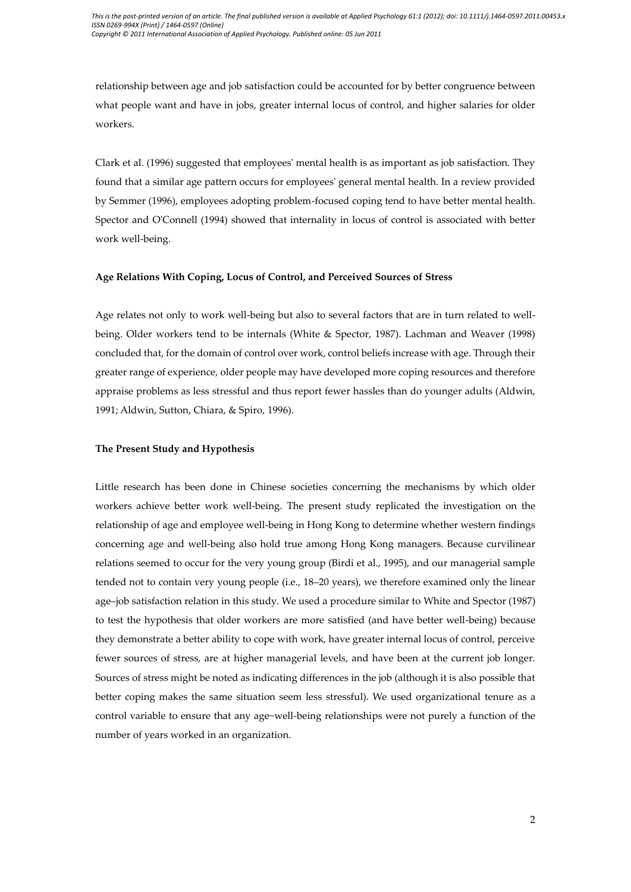relationship between age and job satisfaction could be accounted for by better congruence between what people want and have in jobs, greater internal locus of control, and higher salaries for older workers.

Clark et al. (1996) suggested that employees' mental health is as important as job satisfaction. They found that a similar age pattern occurs for employees' general mental health. In a review provided by Semmer (1996), employees adopting problem-focused coping tend to have better mental health. Spector and O'Connell (1994) showed that internality in locus of control is associated with better work well-being.

#### **Age Relations With Coping, Locus of Control, and Perceived Sources of Stress**

Age relates not only to work well-being but also to several factors that are in turn related to wellbeing. Older workers tend to be internals (White & Spector, 1987). Lachman and Weaver (1998) concluded that, for the domain of control over work, control beliefs increase with age. Through their greater range of experience, older people may have developed more coping resources and therefore appraise problems as less stressful and thus report fewer hassles than do younger adults (Aldwin, 1991; Aldwin, Sutton, Chiara, & Spiro, 1996).

#### **The Present Study and Hypothesis**

Little research has been done in Chinese societies concerning the mechanisms by which older workers achieve better work well-being. The present study replicated the investigation on the relationship of age and employee well-being in Hong Kong to determine whether western findings concerning age and well-being also hold true among Hong Kong managers. Because curvilinear relations seemed to occur for the very young group (Birdi et al., 1995), and our managerial sample tended not to contain very young people (i.e., 18–20 years), we therefore examined only the linear age–job satisfaction relation in this study. We used a procedure similar to White and Spector (1987) to test the hypothesis that older workers are more satisfied (and have better well-being) because they demonstrate a better ability to cope with work, have greater internal locus of control, perceive fewer sources of stress, are at higher managerial levels, and have been at the current job longer. Sources of stress might be noted as indicating differences in the job (although it is also possible that better coping makes the same situation seem less stressful). We used organizational tenure as a control variable to ensure that any age−well-being relationships were not purely a function of the number of years worked in an organization.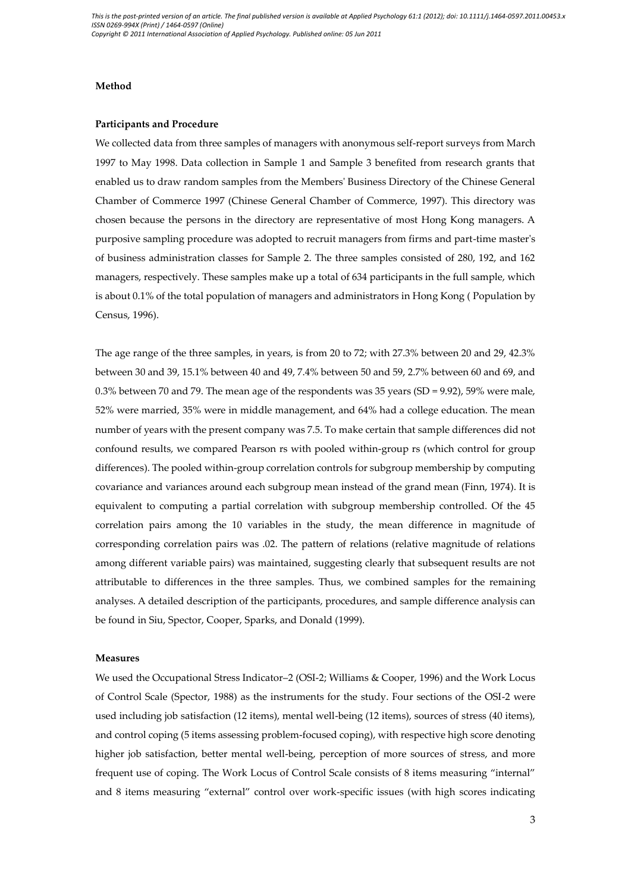#### **Method**

#### **Participants and Procedure**

We collected data from three samples of managers with anonymous self-report surveys from March 1997 to May 1998. Data collection in Sample 1 and Sample 3 benefited from research grants that enabled us to draw random samples from the Members' Business Directory of the Chinese General Chamber of Commerce 1997 (Chinese General Chamber of Commerce, 1997). This directory was chosen because the persons in the directory are representative of most Hong Kong managers. A purposive sampling procedure was adopted to recruit managers from firms and part-time master's of business administration classes for Sample 2. The three samples consisted of 280, 192, and 162 managers, respectively. These samples make up a total of 634 participants in the full sample, which is about 0.1% of the total population of managers and administrators in Hong Kong ( Population by Census, 1996).

The age range of the three samples, in years, is from 20 to 72; with 27.3% between 20 and 29, 42.3% between 30 and 39, 15.1% between 40 and 49, 7.4% between 50 and 59, 2.7% between 60 and 69, and 0.3% between 70 and 79. The mean age of the respondents was 35 years (SD = 9.92), 59% were male, 52% were married, 35% were in middle management, and 64% had a college education. The mean number of years with the present company was 7.5. To make certain that sample differences did not confound results, we compared Pearson rs with pooled within-group rs (which control for group differences). The pooled within-group correlation controls for subgroup membership by computing covariance and variances around each subgroup mean instead of the grand mean (Finn, 1974). It is equivalent to computing a partial correlation with subgroup membership controlled. Of the 45 correlation pairs among the 10 variables in the study, the mean difference in magnitude of corresponding correlation pairs was .02. The pattern of relations (relative magnitude of relations among different variable pairs) was maintained, suggesting clearly that subsequent results are not attributable to differences in the three samples. Thus, we combined samples for the remaining analyses. A detailed description of the participants, procedures, and sample difference analysis can be found in Siu, Spector, Cooper, Sparks, and Donald (1999).

#### **Measures**

We used the Occupational Stress Indicator–2 (OSI-2; Williams & Cooper, 1996) and the Work Locus of Control Scale (Spector, 1988) as the instruments for the study. Four sections of the OSI-2 were used including job satisfaction (12 items), mental well-being (12 items), sources of stress (40 items), and control coping (5 items assessing problem-focused coping), with respective high score denoting higher job satisfaction, better mental well-being, perception of more sources of stress, and more frequent use of coping. The Work Locus of Control Scale consists of 8 items measuring "internal" and 8 items measuring "external" control over work-specific issues (with high scores indicating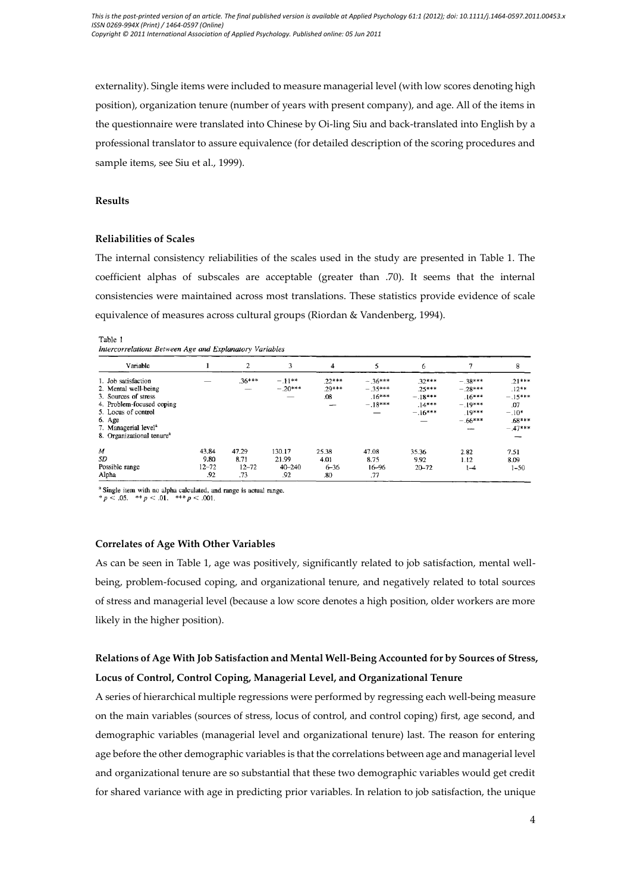externality). Single items were included to measure managerial level (with low scores denoting high position), organization tenure (number of years with present company), and age. All of the items in the questionnaire were translated into Chinese by Oi-ling Siu and back-translated into English by a professional translator to assure equivalence (for detailed description of the scoring procedures and sample items, see Siu et al., 1999).

#### **Results**

### **Reliabilities of Scales**

The internal consistency reliabilities of the scales used in the study are presented in Table 1. The coefficient alphas of subscales are acceptable (greater than .70). It seems that the internal consistencies were maintained across most translations. These statistics provide evidence of scale equivalence of measures across cultural groups (Riordan & Vandenberg, 1994).

#### Table 1

Intercorrelations Between Age and Explanatory Variables

| Variable                                                                                                                                                                                                       |                                   | 2                                 | 3                                    | 4                                |                                                 | 6                                                          |                                                                                | 8                                                                                  |
|----------------------------------------------------------------------------------------------------------------------------------------------------------------------------------------------------------------|-----------------------------------|-----------------------------------|--------------------------------------|----------------------------------|-------------------------------------------------|------------------------------------------------------------|--------------------------------------------------------------------------------|------------------------------------------------------------------------------------|
| 1. Job satisfaction<br>2. Mental well-being<br>3. Sources of stress<br>4. Problem-focused coping<br>5. Locus of control<br>6. Age<br>7. Managerial level <sup>a</sup><br>8. Organizational tenure <sup>a</sup> |                                   | $.36***$<br>–                     | $-.11***$<br>$-.20***$               | $.22***$<br>$.29***$<br>.08<br>- | $-.36***$<br>$-.35***$<br>$.16***$<br>$-.18***$ | $.32***$<br>$.25***$<br>$-.18***$<br>$.14***$<br>$-.16***$ | $-.38***$<br>$-.28***$<br>$.16***$<br>$-.19***$<br>.19***<br>$-.66***$<br>سنست | $.21***$<br>$.12**$<br>$-.15***$<br>.07<br>$-.10*$<br>$.68***$<br>$-.47***$<br>--- |
| M<br>SD<br>Possible range<br>Alpha                                                                                                                                                                             | 43.84<br>9.80<br>$12 - 72$<br>.92 | 47.29<br>8.71<br>$12 - 72$<br>.73 | 130.17<br>21.99<br>$40 - 240$<br>.92 | 25.38<br>4.01<br>$6 - 36$<br>.80 | 47.08<br>8.75<br>16-96<br>.77                   | 35.36<br>9.92<br>$20 - 72$                                 | 2.82<br>1.12<br>$1 - 4$                                                        | 7.51<br>8.09<br>$1 - 50$                                                           |

<sup>a</sup> Single item with no alpha calculated, and range is actual range.<br>\*  $p$  < .05. \*\*  $p$  < .01. \*\*\*  $p$  < .001.

#### **Correlates of Age With Other Variables**

As can be seen in Table 1, age was positively, significantly related to job satisfaction, mental wellbeing, problem-focused coping, and organizational tenure, and negatively related to total sources of stress and managerial level (because a low score denotes a high position, older workers are more likely in the higher position).

## **Relations of Age With Job Satisfaction and Mental Well-Being Accounted for by Sources of Stress, Locus of Control, Control Coping, Managerial Level, and Organizational Tenure**

A series of hierarchical multiple regressions were performed by regressing each well-being measure on the main variables (sources of stress, locus of control, and control coping) first, age second, and demographic variables (managerial level and organizational tenure) last. The reason for entering age before the other demographic variables is that the correlations between age and managerial level and organizational tenure are so substantial that these two demographic variables would get credit for shared variance with age in predicting prior variables. In relation to job satisfaction, the unique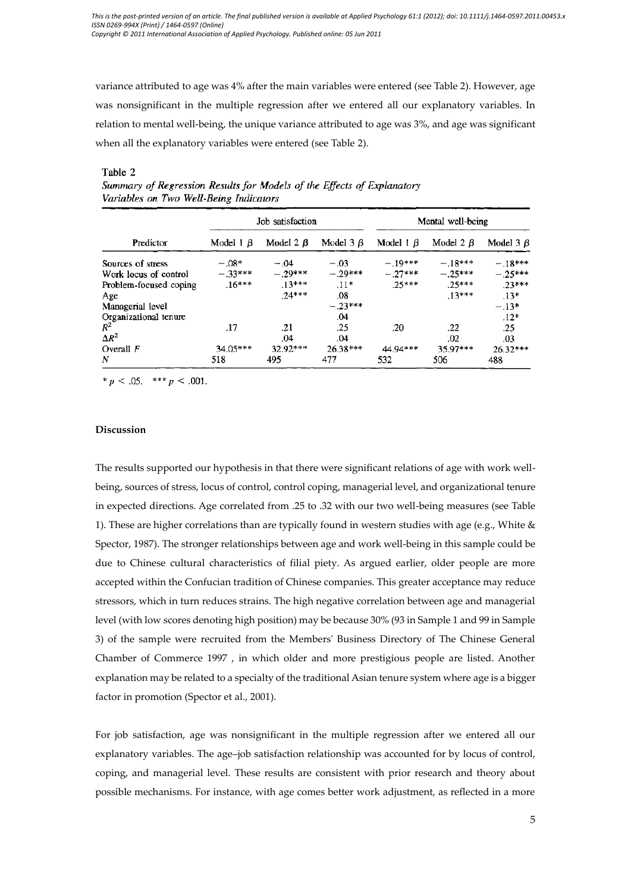variance attributed to age was 4% after the main variables were entered (see Table 2). However, age was nonsignificant in the multiple regression after we entered all our explanatory variables. In relation to mental well-being, the unique variance attributed to age was 3%, and age was significant when all the explanatory variables were entered (see Table 2).

|                        |                 | Job satisfaction |                 | Mental well-being |            |                 |  |
|------------------------|-----------------|------------------|-----------------|-------------------|------------|-----------------|--|
| Predictor              | Model $1 \beta$ | Model 2 $\beta$  | Model $3 \beta$ | Model $1 \beta$   | Model $2B$ | Model $3 \beta$ |  |
| Sources of stress      | $-.08*$         | $-.04$           | $-.03$          | $-19***$          | $-.18***$  | $-.18***$       |  |
| Work locus of control  | $-.33***$       | $-.29***$        | $-.29***$       | $-.27***$         | $-.25***$  | $-.25***$       |  |
| Problem-focused coping | $.16***$        | $.13***$         | $.11*$          | $25***$           | $25***$    | $23***$         |  |
| Age                    |                 | $74***$          | .08             |                   | $13***$    | $.13*$          |  |
| Managerial level       |                 |                  | $-.23***$       |                   |            | $-.13*$         |  |
| Organizational tenure  |                 |                  | .04             |                   |            | $.12*$          |  |
| $R^2$                  | .17             | .21              | .25             | .20               | .22        | .25             |  |
| $\Delta R^2$           |                 | .04              | .04             |                   | .02        | .03             |  |
| Overall $F$            | 34.05***        | 32.92***         | 26.38***        | 44.94***          | 35.97***   | 26.32***        |  |
| N                      | 518             | 495              | 477             | 532               | 506        | 488             |  |

#### Table 2

Summary of Regression Results for Models of the Effects of Explanatory Variables on Two Well-Being Indicators

\*  $p < .05$ . \*\*\*  $p < .001$ .

#### **Discussion**

The results supported our hypothesis in that there were significant relations of age with work wellbeing, sources of stress, locus of control, control coping, managerial level, and organizational tenure in expected directions. Age correlated from .25 to .32 with our two well-being measures (see Table 1). These are higher correlations than are typically found in western studies with age (e.g., White & Spector, 1987). The stronger relationships between age and work well-being in this sample could be due to Chinese cultural characteristics of filial piety. As argued earlier, older people are more accepted within the Confucian tradition of Chinese companies. This greater acceptance may reduce stressors, which in turn reduces strains. The high negative correlation between age and managerial level (with low scores denoting high position) may be because 30% (93 in Sample 1 and 99 in Sample 3) of the sample were recruited from the Members' Business Directory of The Chinese General Chamber of Commerce 1997 , in which older and more prestigious people are listed. Another explanation may be related to a specialty of the traditional Asian tenure system where age is a bigger factor in promotion (Spector et al., 2001).

For job satisfaction, age was nonsignificant in the multiple regression after we entered all our explanatory variables. The age–job satisfaction relationship was accounted for by locus of control, coping, and managerial level. These results are consistent with prior research and theory about possible mechanisms. For instance, with age comes better work adjustment, as reflected in a more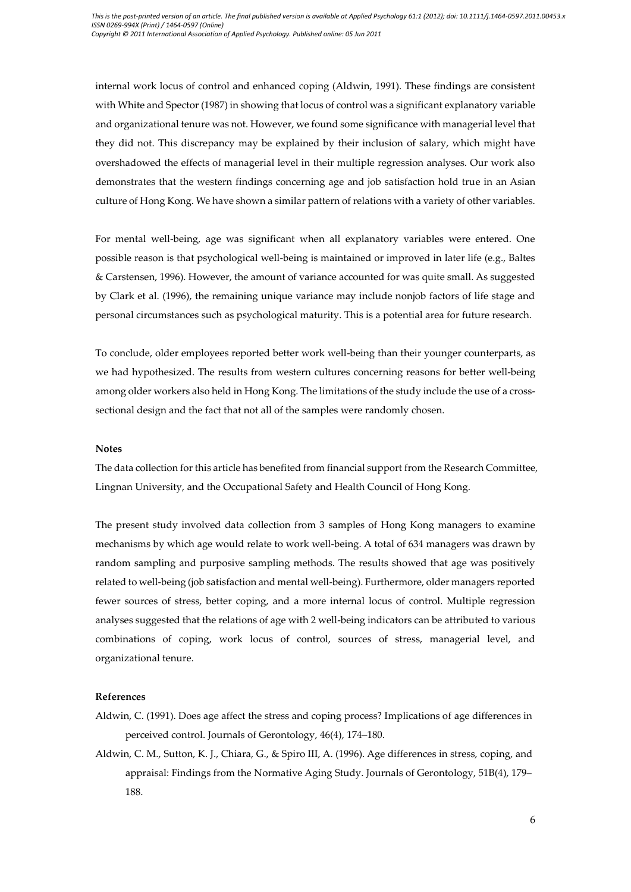internal work locus of control and enhanced coping (Aldwin, 1991). These findings are consistent with White and Spector (1987) in showing that locus of control was a significant explanatory variable and organizational tenure was not. However, we found some significance with managerial level that they did not. This discrepancy may be explained by their inclusion of salary, which might have overshadowed the effects of managerial level in their multiple regression analyses. Our work also demonstrates that the western findings concerning age and job satisfaction hold true in an Asian culture of Hong Kong. We have shown a similar pattern of relations with a variety of other variables.

For mental well-being, age was significant when all explanatory variables were entered. One possible reason is that psychological well-being is maintained or improved in later life (e.g., Baltes & Carstensen, 1996). However, the amount of variance accounted for was quite small. As suggested by Clark et al. (1996), the remaining unique variance may include nonjob factors of life stage and personal circumstances such as psychological maturity. This is a potential area for future research.

To conclude, older employees reported better work well-being than their younger counterparts, as we had hypothesized. The results from western cultures concerning reasons for better well-being among older workers also held in Hong Kong. The limitations of the study include the use of a crosssectional design and the fact that not all of the samples were randomly chosen.

#### **Notes**

The data collection for this article has benefited from financial support from the Research Committee, Lingnan University, and the Occupational Safety and Health Council of Hong Kong.

The present study involved data collection from 3 samples of Hong Kong managers to examine mechanisms by which age would relate to work well-being. A total of 634 managers was drawn by random sampling and purposive sampling methods. The results showed that age was positively related to well-being (job satisfaction and mental well-being). Furthermore, older managers reported fewer sources of stress, better coping, and a more internal locus of control. Multiple regression analyses suggested that the relations of age with 2 well-being indicators can be attributed to various combinations of coping, work locus of control, sources of stress, managerial level, and organizational tenure.

#### **References**

- Aldwin, C. (1991). Does age affect the stress and coping process? Implications of age differences in perceived control. Journals of Gerontology, 46(4), 174–180.
- Aldwin, C. M., Sutton, K. J., Chiara, G., & Spiro III, A. (1996). Age differences in stress, coping, and appraisal: Findings from the Normative Aging Study. Journals of Gerontology, 51B(4), 179– 188.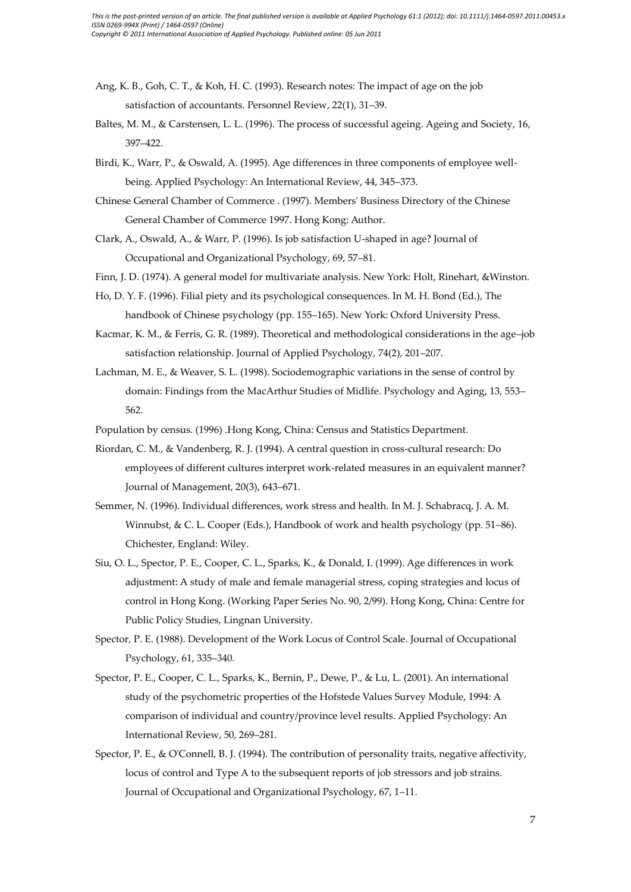- Ang, K. B., Goh, C. T., & Koh, H. C. (1993). Research notes: The impact of age on the job satisfaction of accountants. Personnel Review, 22(1), 31–39.
- Baltes, M. M., & Carstensen, L. L. (1996). The process of successful ageing. Ageing and Society, 16, 397–422.
- Birdi, K., Warr, P., & Oswald, A. (1995). Age differences in three components of employee wellbeing. Applied Psychology: An International Review, 44, 345–373.
- Chinese General Chamber of Commerce . (1997). Members' Business Directory of the Chinese General Chamber of Commerce 1997. Hong Kong: Author.
- Clark, A., Oswald, A., & Warr, P. (1996). Is job satisfaction U-shaped in age? Journal of Occupational and Organizational Psychology, 69, 57–81.

Finn, J. D. (1974). A general model for multivariate analysis. New York: Holt, Rinehart, &Winston.

Ho, D. Y. F. (1996). Filial piety and its psychological consequences. In M. H. Bond (Ed.), The handbook of Chinese psychology (pp. 155–165). New York: Oxford University Press.

Kacmar, K. M., & Ferris, G. R. (1989). Theoretical and methodological considerations in the age–job satisfaction relationship. Journal of Applied Psychology, 74(2), 201–207.

Lachman, M. E., & Weaver, S. L. (1998). Sociodemographic variations in the sense of control by domain: Findings from the MacArthur Studies of Midlife. Psychology and Aging, 13, 553– 562.

Population by census. (1996) .Hong Kong, China: Census and Statistics Department.

- Riordan, C. M., & Vandenberg, R. J. (1994). A central question in cross-cultural research: Do employees of different cultures interpret work-related measures in an equivalent manner? Journal of Management, 20(3), 643–671.
- Semmer, N. (1996). Individual differences, work stress and health. In M. J. Schabracq, J. A. M. Winnubst, & C. L. Cooper (Eds.), Handbook of work and health psychology (pp. 51–86). Chichester, England: Wiley.
- Siu, O. L., Spector, P. E., Cooper, C. L., Sparks, K., & Donald, I. (1999). Age differences in work adjustment: A study of male and female managerial stress, coping strategies and locus of control in Hong Kong. (Working Paper Series No. 90, 2/99). Hong Kong, China: Centre for Public Policy Studies, Lingnan University.
- Spector, P. E. (1988). Development of the Work Locus of Control Scale. Journal of Occupational Psychology, 61, 335–340.
- Spector, P. E., Cooper, C. L., Sparks, K., Bernin, P., Dewe, P., & Lu, L. (2001). An international study of the psychometric properties of the Hofstede Values Survey Module, 1994: A comparison of individual and country/province level results. Applied Psychology: An International Review, 50, 269–281.
- Spector, P. E., & O'Connell, B. J. (1994). The contribution of personality traits, negative affectivity, locus of control and Type A to the subsequent reports of job stressors and job strains. Journal of Occupational and Organizational Psychology, 67, 1–11.